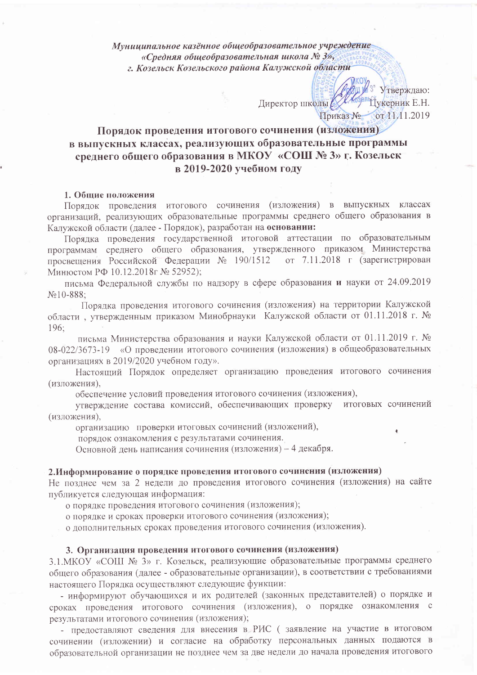Муниципальное казённое общеобразовательное учреждение «Средняя общеобразовательная школа № 3», г. Козельск Козельского района Калужской области

> 3" Утверждаю: Директор школы ДА Сарлы Дукерник Е.Н. Приказ № от 11.11.2019

# Порядок проведения итогового сочинения (изложения) в выпускных классах, реализующих образовательные программы среднего общего образования в МКОУ «СОШ № 3» г. Козельск в 2019-2020 учебном году

### 1. Общие положения

Порядок проведения итогового сочинения (изложения) в выпускных классах организаций, реализующих образовательные программы среднего общего образования в Калужской области (далее - Порядок), разработан на основании:

Порядка проведения государственной итоговой аттестации по образовательным программам среднего общего образования, утвержденного приказом Министерства просвещения Российской Федерации № 190/1512 от 7.11.2018 г (зарегистрирован Минюстом РФ 10.12.2018г № 52952);

письма Федеральной службы по надзору в сфере образования и науки от 24.09.2019  $N<sub>2</sub>10-888$ ;

Порядка проведения итогового сочинения (изложения) на территории Калужской области, утвержденным приказом Минобрнауки Калужской области от 01.11.2018 г. № 196;

письма Министерства образования и науки Калужской области от 01.11.2019 г. № 08-022/3673-19 «О проведении итогового сочинения (изложения) в общеобразовательных организациях в 2019/2020 учебном году».

Настоящий Порядок определяет организацию проведения итогового сочинения (изложения).

обеспечение условий проведения итогового сочинения (изложения),

утверждение состава комиссий, обеспечивающих проверку итоговых сочинений (изложения).

организацию проверки итоговых сочинений (изложений),

порядок ознакомления с результатами сочинения.

Основной день написания сочинения (изложения) - 4 декабря.

### 2. Информирование о порядке проведения итогового сочинения (изложения)

Не позднее чем за 2 недели до проведения итогового сочинения (изложения) на сайте публикуется следующая информация:

о порядке проведения итогового сочинения (изложения);

о порядке и сроках проверки итогового сочинения (изложения);

о дополнительных сроках проведения итогового сочинения (изложения).

#### 3. Организация проведения итогового сочинения (изложения)

3.1. МКОУ «СОШ № 3» г. Козельск, реализующие образовательные программы среднего общего образования (далее - образовательные организации), в соответствии с требованиями настоящего Порядка осуществляют следующие функции:

- информируют обучающихся и их родителей (законных представителей) о порядке и сроках проведения итогового сочинения (изложения), о порядке ознакомления с результатами итогового сочинения (изложения);

- предоставляют сведения для внесения в РИС (заявление на участие в итоговом сочинении (изложении) и согласие на обработку персональных данных подаются в образовательной организации не позднее чем за две недели до начала проведения итогового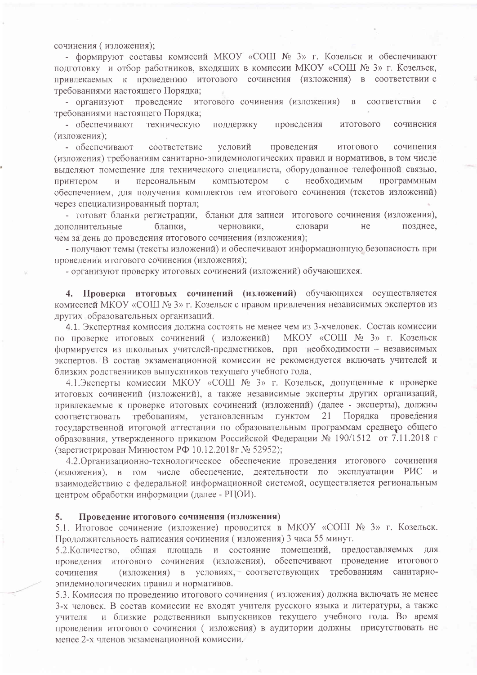сочинения (изложения);

- формируют составы комиссий МКОУ «СОШ № 3» г. Козельск и обеспечивают подготовку и отбор работников, входящих в комиссии МКОУ «СОШ № 3» г. Козельск, привлекаемых к проведению итогового сочинения (изложения) в соответствии с требованиями настоящего Порядка;

- организуют проведение итогового сочинения (изложения) в соответствии  $\mathbf{c}$ требованиями настоящего Порядка;

- обеспечивают техническую поддержку проведения итогового сочинения (изложения);

- обеспечивают соответствие условий проведения ИТОГОВОГО сочинения (изложения) требованиям санитарно-эпидемиологических правил и нормативов, в том числе выделяют помещение для технического специалиста, оборудованное телефонной связью, персональным компьютером необходимым программным принтером  $\mathbf{C}$  $\overline{M}$ обеспечением, для получения комплектов тем итогового сочинения (текстов изложений) через специализированный портал;

- готовят бланки регистрации, бланки для записи итогового сочинения (изложения), лополнительные бланки. He позднее. черновики, словари чем за день до проведения итогового сочинения (изложения);

- получают темы (тексты изложений) и обеспечивают информационную безопасность при проведении итогового сочинения (изложения);

- организуют проверку итоговых сочинений (изложений) обучающихся.

Проверка итоговых сочинений (изложений) обучающихся осуществляется  $4.$ комиссией МКОУ «СОШ № 3» г. Козельск с правом привлечения независимых экспертов из других образовательных организаций.

4.1. Экспертная комиссия должна состоять не менее чем из 3-хчеловек. Состав комиссии МКОУ «СОШ № 3» г. Козельск по проверке итоговых сочинений (изложений) формируется из школьных учителей-предметников, при необходимости - независимых экспертов. В состав экзаменационной комиссии не рекомендуется включать учителей и близких родственников выпускников текущего учебного года.

4.1.Эксперты комиссии МКОУ «СОШ № 3» г. Козельск, допущенные к проверке итоговых сочинений (изложений), а также независимые эксперты других организаций, привлекаемые к проверке итоговых сочинений (изложений) (далее - эксперты), должны требованиям, установленным ПУНКТОМ Порядка проведения 21 соответствовать государственной итоговой аттестации по образовательным программам среднего общего образования, утвержденного приказом Российской Федерации № 190/1512 от 7.11.2018 г (зарегистрирован Минюстом РФ 10.12.2018г № 52952);

4.2. Организационно-технологическое обеспечение проведения итогового сочинения (изложения), в том числе обеспечение, деятельности по эксплуатации РИС и взаимодействию с федеральной информационной системой, осуществляется региональным центром обработки информации (далее - РЦОИ).

#### 5. Проведение итогового сочинения (изложения)

5.1. Итоговое сочинение (изложение) проводится в МКОУ «СОШ № 3» г. Козельск. Продолжительность написания сочинения (изложения) 3 часа 55 минут.

5.2. Количество, общая площадь и состояние помещений, предоставляемых лля проведения итогового сочинения (изложения), обеспечивают проведение итогового (изложения) в условиях, соответствующих требованиям санитарносочинения эпидемиологических правил и нормативов.

5.3. Комиссия по проведению итогового сочинения (изложения) должна включать не менее 3-х человек. В состав комиссии не входят учителя русского языка и литературы, а также и близкие родственники выпускников текущего учебного года. Во время учителя проведения итогового сочинения (изложения) в аудитории должны присутствовать не менее 2-х членов экзаменационной комиссии.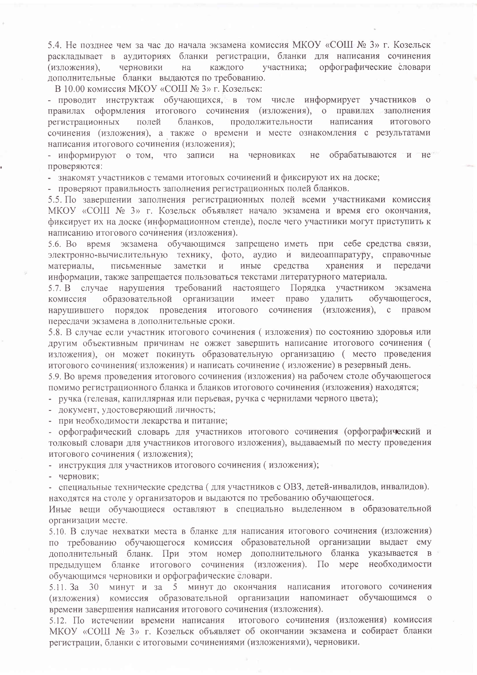5.4. Не позднее чем за час до начала экзамена комиссия МКОУ «СОШ- № 3» г. Козельск раскладывает в аудиториях бланки регистрации, бланки для написания сочинения черновики каждого участника: орфографические словари (изложения). на дополнительные бланки выдаются по требованию.

В 10.00 комиссия МКОУ «СОШ № 3» г. Козельск:

- проводит инструктаж обучающихся, в том числе информирует участников  $\overline{O}$ правилах оформления итогового сочинения (изложения), о правилах заполнения продолжительности бланков. написания регистрационных полей **ИТОГОВОГО** сочинения (изложения), а также о времени и месте ознакомления с результатами написания итогового сочинения (изложения);

не обрабатываются и не - информируют о том, что записи на черновиках проверяются:

- знакомят участников с темами итоговых сочинений и фиксируют их на доске;

- проверяют правильность заполнения регистрационных полей бланков.

5.5. По завершении заполнения регистрационных полей всеми участниками комиссия МКОУ «СОШ № 3» г. Козельск объявляет начало экзамена и время его окончания, фиксирует их на доске (информационном стенде), после чего участники могут приступить к написанию итогового сочинения (изложения).

5.6. Во время экзамена обучающимся запрещено иметь при себе средства связи, электронно-вычислительную технику, фото, аудио и видеоаппаратуру, справочные заметки и средства хранения и передачи материалы. письменные иные информации, также запрещается пользоваться текстами литературного материала.

5.7. В случае нарушения требований настоящего Порядка участником экзамена право обучающегося, образовательной организации имеет удалить комиссия нарушившего порядок проведения итогового сочинения (изложения), с правом переслачи экзамена в дополнительные сроки.

5.8. В случае если участник итогового сочинения (изложения) по состоянию здоровья или другим объективным причинам не ожжет завершить написание итогового сочинения ( изложения), он может покинуть образовательную организацию (место проведения итогового сочинения(изложения) и написать сочинение (изложение) в резервный день.

5.9. Во время проведения итогового сочинения (изложения) на рабочем столе обучающегося помимо регистрационного бланка и бланков итогового сочинения (изложения) находятся;

- ручка (гелевая, капиллярная или перьевая, ручка с чернилами черного цвета);

- документ, удостоверяющий личность;

- при необходимости лекарства и питание;

- орфографический словарь для участников итогового сочинения (орфографический и толковый словари для участников итогового изложения), выдаваемый по месту проведения итогового сочинения (изложения);

- инструкция для участников итогового сочинения (изложения);

- черновик;

- специальные технические средства (для участников с ОВЗ, детей-инвалидов, инвалидов). находятся на столе у организаторов и выдаются по требованию обучающегося.

Иные вещи обучающиеся оставляют в специально выделенном в образовательной организации месте.

5.10. В случае нехватки места в бланке для написания итогового сочинения (изложения) по требованию обучающегося комиссия образовательной организации выдает ему дополнительный бланк. При этом номер дополнительного бланка указывается в предыдущем бланке итогового сочинения (изложения). По мере необходимости обучающимся черновики и орфографические словари.

5.11. За 30 минут и за 5 минут до окончания написания итогового сочинения (изложения) комиссия образовательной организации напоминает обучающимся о времени завершения написания итогового сочинения (изложения).

5.12. По истечении времени написания итогового сочинения (изложения) комиссия МКОУ «СОШ № 3» г. Козельск объявляет об окончании экзамена и собирает бланки регистрации, бланки с итоговыми сочинениями (изложениями), черновики.